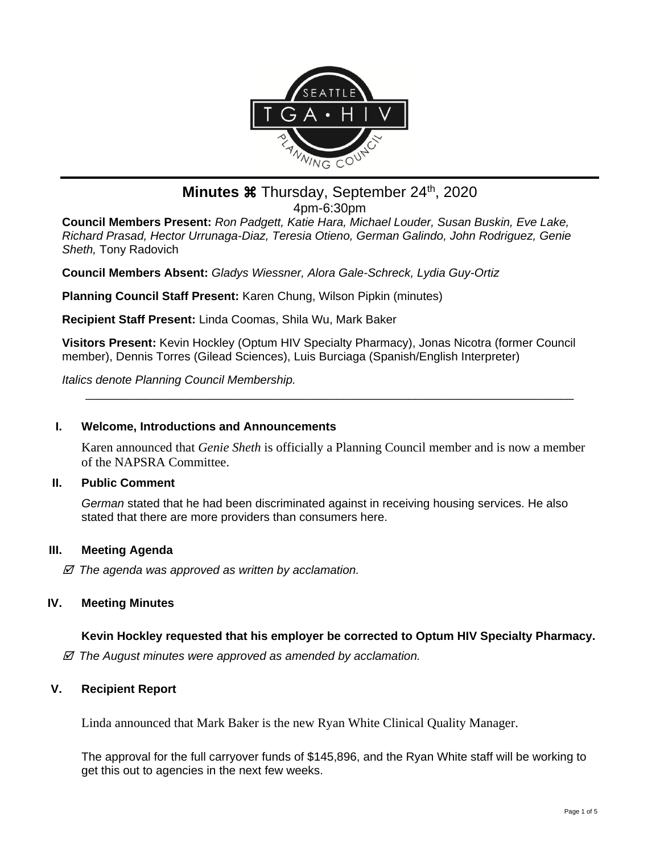

# **Minutes**  $\mathcal{H}$  **Thursday, September 24th, 2020** 4pm-6:30pm

**Council Members Present:** *Ron Padgett, Katie Hara, Michael Louder, Susan Buskin, Eve Lake, Richard Prasad, Hector Urrunaga-Diaz, Teresia Otieno, German Galindo, John Rodriguez, Genie Sheth,* Tony Radovich

**Council Members Absent:** *Gladys Wiessner, Alora Gale-Schreck, Lydia Guy-Ortiz*

**Planning Council Staff Present:** Karen Chung, Wilson Pipkin (minutes)

**Recipient Staff Present:** Linda Coomas, Shila Wu, Mark Baker

**Visitors Present:** Kevin Hockley (Optum HIV Specialty Pharmacy), Jonas Nicotra (former Council member), Dennis Torres (Gilead Sciences), Luis Burciaga (Spanish/English Interpreter)

*Italics denote Planning Council Membership.* 

### **I. Welcome, Introductions and Announcements**

Karen announced that *Genie Sheth* is officially a Planning Council member and is now a member of the NAPSRA Committee.

\_\_\_\_\_\_\_\_\_\_\_\_\_\_\_\_\_\_\_\_\_\_\_\_\_\_\_\_\_\_\_\_\_\_\_\_\_\_\_\_\_\_\_\_\_\_\_\_\_\_\_\_\_\_\_\_\_\_\_\_\_\_\_\_\_\_\_\_\_\_\_\_\_\_

### **II. Public Comment**

*German* stated that he had been discriminated against in receiving housing services. He also stated that there are more providers than consumers here.

### **III. Meeting Agenda**

 *The agenda was approved as written by acclamation.*

### **IV. Meeting Minutes**

## **Kevin Hockley requested that his employer be corrected to Optum HIV Specialty Pharmacy.**

 *The August minutes were approved as amended by acclamation.*

## **V. Recipient Report**

Linda announced that Mark Baker is the new Ryan White Clinical Quality Manager.

The approval for the full carryover funds of \$145,896, and the Ryan White staff will be working to get this out to agencies in the next few weeks.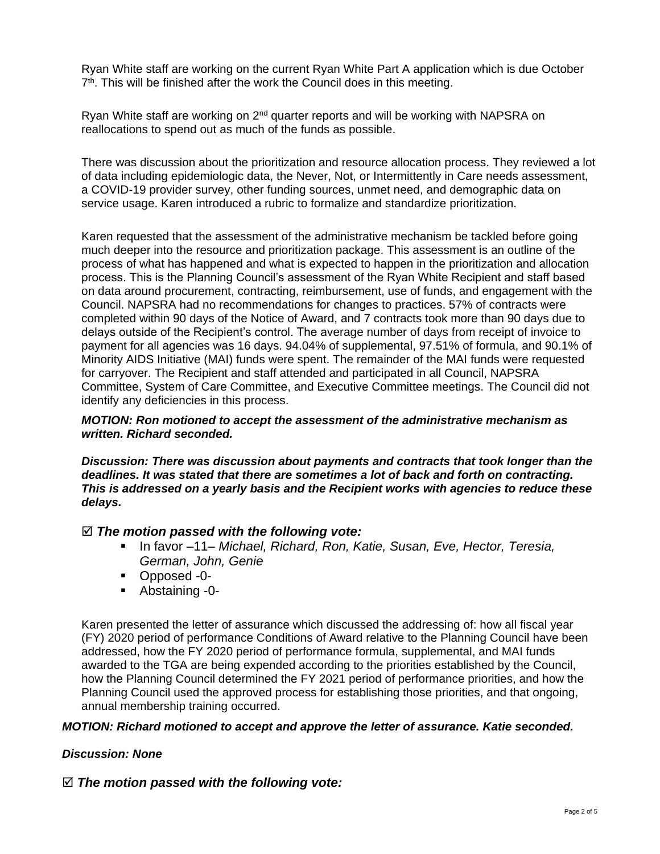Ryan White staff are working on the current Ryan White Part A application which is due October 7<sup>th</sup>. This will be finished after the work the Council does in this meeting.

Ryan White staff are working on 2<sup>nd</sup> quarter reports and will be working with NAPSRA on reallocations to spend out as much of the funds as possible.

There was discussion about the prioritization and resource allocation process. They reviewed a lot of data including epidemiologic data, the Never, Not, or Intermittently in Care needs assessment, a COVID-19 provider survey, other funding sources, unmet need, and demographic data on service usage. Karen introduced a rubric to formalize and standardize prioritization.

Karen requested that the assessment of the administrative mechanism be tackled before going much deeper into the resource and prioritization package. This assessment is an outline of the process of what has happened and what is expected to happen in the prioritization and allocation process. This is the Planning Council's assessment of the Ryan White Recipient and staff based on data around procurement, contracting, reimbursement, use of funds, and engagement with the Council. NAPSRA had no recommendations for changes to practices. 57% of contracts were completed within 90 days of the Notice of Award, and 7 contracts took more than 90 days due to delays outside of the Recipient's control. The average number of days from receipt of invoice to payment for all agencies was 16 days. 94.04% of supplemental, 97.51% of formula, and 90.1% of Minority AIDS Initiative (MAI) funds were spent. The remainder of the MAI funds were requested for carryover. The Recipient and staff attended and participated in all Council, NAPSRA Committee, System of Care Committee, and Executive Committee meetings. The Council did not identify any deficiencies in this process.

#### *MOTION: Ron motioned to accept the assessment of the administrative mechanism as written. Richard seconded.*

*Discussion: There was discussion about payments and contracts that took longer than the deadlines. It was stated that there are sometimes a lot of back and forth on contracting. This is addressed on a yearly basis and the Recipient works with agencies to reduce these delays.*

### *The motion passed with the following vote:*

- In favor –11– *Michael, Richard, Ron, Katie, Susan, Eve, Hector, Teresia, German, John, Genie*
- Opposed -0-
- Abstaining -0-

Karen presented the letter of assurance which discussed the addressing of: how all fiscal year (FY) 2020 period of performance Conditions of Award relative to the Planning Council have been addressed, how the FY 2020 period of performance formula, supplemental, and MAI funds awarded to the TGA are being expended according to the priorities established by the Council, how the Planning Council determined the FY 2021 period of performance priorities, and how the Planning Council used the approved process for establishing those priorities, and that ongoing, annual membership training occurred.

### *MOTION: Richard motioned to accept and approve the letter of assurance. Katie seconded.*

### *Discussion: None*

### *The motion passed with the following vote:*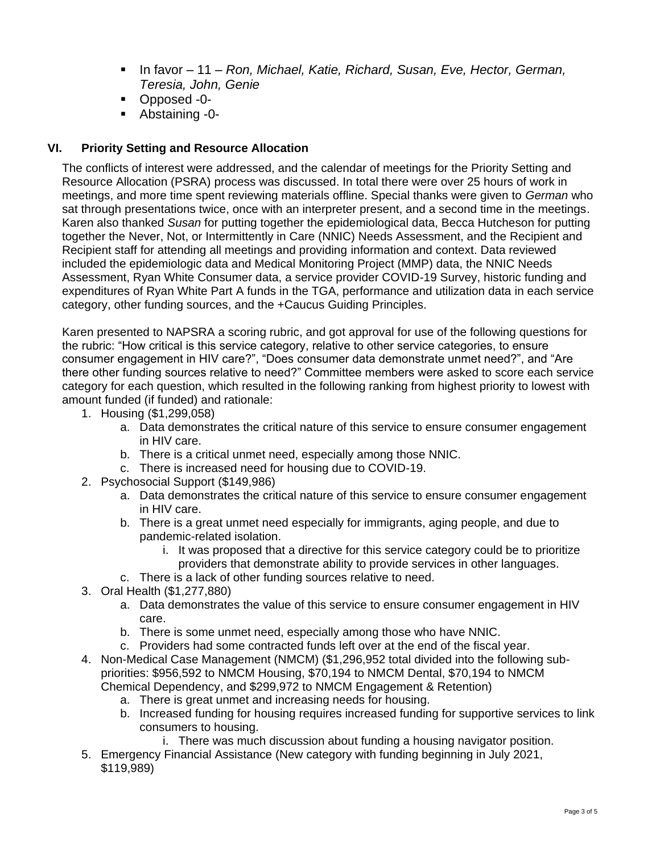- In favor 11 *Ron, Michael, Katie, Richard, Susan, Eve, Hector, German, Teresia, John, Genie*
- Opposed -0-
- Abstaining -0-

### **VI. Priority Setting and Resource Allocation**

The conflicts of interest were addressed, and the calendar of meetings for the Priority Setting and Resource Allocation (PSRA) process was discussed. In total there were over 25 hours of work in meetings, and more time spent reviewing materials offline. Special thanks were given to *German* who sat through presentations twice, once with an interpreter present, and a second time in the meetings. Karen also thanked *Susan* for putting together the epidemiological data, Becca Hutcheson for putting together the Never, Not, or Intermittently in Care (NNIC) Needs Assessment, and the Recipient and Recipient staff for attending all meetings and providing information and context. Data reviewed included the epidemiologic data and Medical Monitoring Project (MMP) data, the NNIC Needs Assessment, Ryan White Consumer data, a service provider COVID-19 Survey, historic funding and expenditures of Ryan White Part A funds in the TGA, performance and utilization data in each service category, other funding sources, and the +Caucus Guiding Principles.

Karen presented to NAPSRA a scoring rubric, and got approval for use of the following questions for the rubric: "How critical is this service category, relative to other service categories, to ensure consumer engagement in HIV care?", "Does consumer data demonstrate unmet need?", and "Are there other funding sources relative to need?" Committee members were asked to score each service category for each question, which resulted in the following ranking from highest priority to lowest with amount funded (if funded) and rationale:

- 1. Housing (\$1,299,058)
	- a. Data demonstrates the critical nature of this service to ensure consumer engagement in HIV care.
	- b. There is a critical unmet need, especially among those NNIC.
	- c. There is increased need for housing due to COVID-19.
- 2. Psychosocial Support (\$149,986)
	- a. Data demonstrates the critical nature of this service to ensure consumer engagement in HIV care.
	- b. There is a great unmet need especially for immigrants, aging people, and due to pandemic-related isolation.
		- i. It was proposed that a directive for this service category could be to prioritize providers that demonstrate ability to provide services in other languages.
	- c. There is a lack of other funding sources relative to need.
- 3. Oral Health (\$1,277,880)
	- a. Data demonstrates the value of this service to ensure consumer engagement in HIV care.
	- b. There is some unmet need, especially among those who have NNIC.
	- c. Providers had some contracted funds left over at the end of the fiscal year.
- 4. Non-Medical Case Management (NMCM) (\$1,296,952 total divided into the following subpriorities: \$956,592 to NMCM Housing, \$70,194 to NMCM Dental, \$70,194 to NMCM Chemical Dependency, and \$299,972 to NMCM Engagement & Retention)
	- a. There is great unmet and increasing needs for housing.
	- b. Increased funding for housing requires increased funding for supportive services to link consumers to housing.
		- i. There was much discussion about funding a housing navigator position.
- 5. Emergency Financial Assistance (New category with funding beginning in July 2021, \$119,989)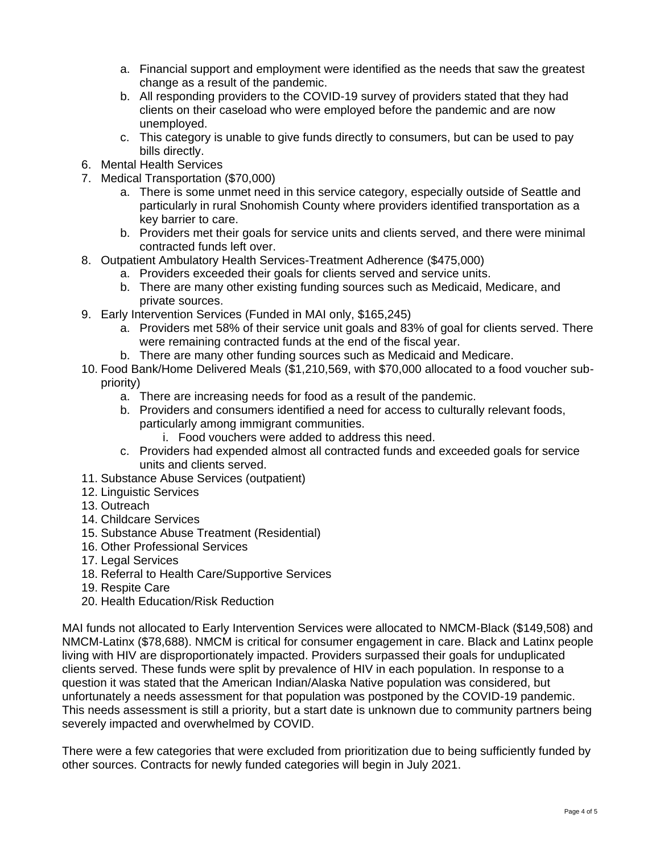- a. Financial support and employment were identified as the needs that saw the greatest change as a result of the pandemic.
- b. All responding providers to the COVID-19 survey of providers stated that they had clients on their caseload who were employed before the pandemic and are now unemployed.
- c. This category is unable to give funds directly to consumers, but can be used to pay bills directly.
- 6. Mental Health Services
- 7. Medical Transportation (\$70,000)
	- a. There is some unmet need in this service category, especially outside of Seattle and particularly in rural Snohomish County where providers identified transportation as a key barrier to care.
	- b. Providers met their goals for service units and clients served, and there were minimal contracted funds left over.
- 8. Outpatient Ambulatory Health Services-Treatment Adherence (\$475,000)
	- a. Providers exceeded their goals for clients served and service units.
	- b. There are many other existing funding sources such as Medicaid, Medicare, and private sources.
- 9. Early Intervention Services (Funded in MAI only, \$165,245)
	- a. Providers met 58% of their service unit goals and 83% of goal for clients served. There were remaining contracted funds at the end of the fiscal year.
	- b. There are many other funding sources such as Medicaid and Medicare.
- 10. Food Bank/Home Delivered Meals (\$1,210,569, with \$70,000 allocated to a food voucher subpriority)
	- a. There are increasing needs for food as a result of the pandemic.
	- b. Providers and consumers identified a need for access to culturally relevant foods, particularly among immigrant communities.
		- i. Food vouchers were added to address this need.
	- c. Providers had expended almost all contracted funds and exceeded goals for service units and clients served.
- 11. Substance Abuse Services (outpatient)
- 12. Linguistic Services
- 13. Outreach
- 14. Childcare Services
- 15. Substance Abuse Treatment (Residential)
- 16. Other Professional Services
- 17. Legal Services
- 18. Referral to Health Care/Supportive Services
- 19. Respite Care
- 20. Health Education/Risk Reduction

MAI funds not allocated to Early Intervention Services were allocated to NMCM-Black (\$149,508) and NMCM-Latinx (\$78,688). NMCM is critical for consumer engagement in care. Black and Latinx people living with HIV are disproportionately impacted. Providers surpassed their goals for unduplicated clients served. These funds were split by prevalence of HIV in each population. In response to a question it was stated that the American Indian/Alaska Native population was considered, but unfortunately a needs assessment for that population was postponed by the COVID-19 pandemic. This needs assessment is still a priority, but a start date is unknown due to community partners being severely impacted and overwhelmed by COVID.

There were a few categories that were excluded from prioritization due to being sufficiently funded by other sources. Contracts for newly funded categories will begin in July 2021.